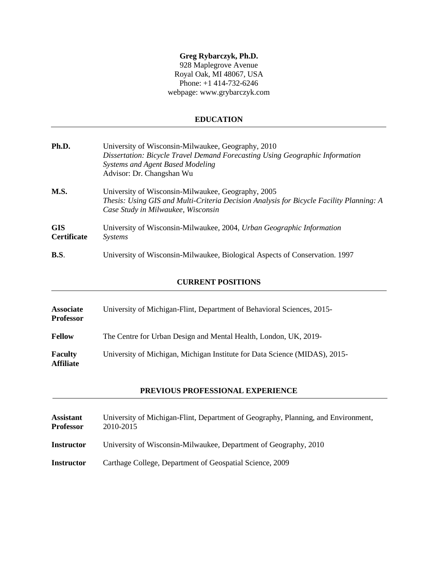# **Greg Rybarczyk, Ph.D.**

928 Maplegrove Avenue Royal Oak, MI 48067, USA Phone: +1 414-732-6246 webpage: www.grybarczyk.com

# **EDUCATION**

| Ph.D.                            | University of Wisconsin-Milwaukee, Geography, 2010<br>Dissertation: Bicycle Travel Demand Forecasting Using Geographic Information<br><b>Systems and Agent Based Modeling</b><br>Advisor: Dr. Changshan Wu |
|----------------------------------|------------------------------------------------------------------------------------------------------------------------------------------------------------------------------------------------------------|
| M.S.                             | University of Wisconsin-Milwaukee, Geography, 2005<br>Thesis: Using GIS and Multi-Criteria Decision Analysis for Bicycle Facility Planning: A<br>Case Study in Milwaukee, Wisconsin                        |
| <b>GIS</b><br><b>Certificate</b> | University of Wisconsin-Milwaukee, 2004, Urban Geographic Information<br><i>Systems</i>                                                                                                                    |
| B.S.                             | University of Wisconsin-Milwaukee, Biological Aspects of Conservation. 1997                                                                                                                                |

# **CURRENT POSITIONS**

| <b>Associate</b><br><b>Professor</b> | University of Michigan-Flint, Department of Behavioral Sciences, 2015-     |
|--------------------------------------|----------------------------------------------------------------------------|
| <b>Fellow</b>                        | The Centre for Urban Design and Mental Health, London, UK, 2019-           |
| <b>Faculty</b><br><b>Affiliate</b>   | University of Michigan, Michigan Institute for Data Science (MIDAS), 2015- |

# **PREVIOUS PROFESSIONAL EXPERIENCE**

| <b>Assistant</b><br><b>Professor</b> | University of Michigan-Flint, Department of Geography, Planning, and Environment,<br>2010-2015 |
|--------------------------------------|------------------------------------------------------------------------------------------------|
| <b>Instructor</b>                    | University of Wisconsin-Milwaukee, Department of Geography, 2010                               |
| <b>Instructor</b>                    | Carthage College, Department of Geospatial Science, 2009                                       |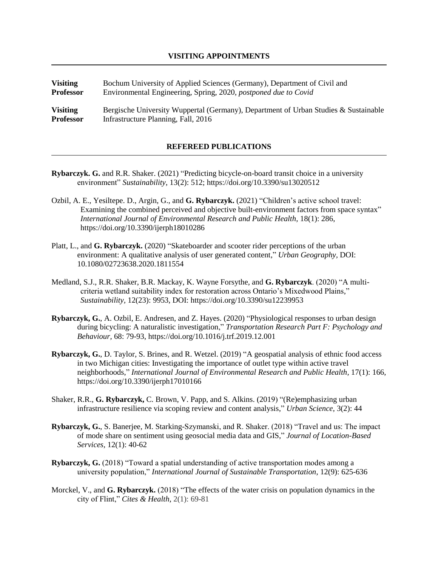**Visiting** Bochum University of Applied Sciences (Germany), Department of Civil and **Professor** Environmental Engineering, Spring, 2020, *postponed due to Covid* **Visiting** Bergische University Wuppertal (Germany), Department of Urban Studies & Sustainable

### **REFEREED PUBLICATIONS**

**Rybarczyk. G.** and R.R. Shaker. (2021) "Predicting bicycle-on-board transit choice in a university environment" *Sustainability*, 13(2): 512; https://doi.org/10.3390/su13020512

**Professor** Infrastructure Planning, Fall, 2016

- Ozbil, A. E., Yesiltepe. D., Argin, G., and **G. Rybarczyk.** (2021) "Children's active school travel: Examining the combined perceived and objective built-environment factors from space syntax" *International Journal of Environmental Research and Public Health,* 18(1): 286, https://doi.org/10.3390/ijerph18010286
- Platt, L., and **G. Rybarczyk.** (2020) "Skateboarder and scooter rider perceptions of the urban environment: A qualitative analysis of user generated content," *Urban Geography,* DOI: 10.1080/02723638.2020.1811554
- Medland, S.J., R.R. Shaker, B.R. Mackay, K. Wayne Forsythe, and **G. Rybarczyk**. (2020) "A multicriteria wetland suitability index for restoration across Ontario's Mixedwood Plains," *Sustainability,* 12(23): 9953, DOI: https://doi.org/10.3390/su12239953
- **Rybarczyk, G.**, A. Ozbil, E. Andresen, and Z. Hayes. (2020) "Physiological responses to urban design during bicycling: A naturalistic investigation," *Transportation Research Part F: Psychology and Behaviour,* 68: 79-93, https://doi.org/10.1016/j.trf.2019.12.001
- **Rybarczyk, G.**, D. Taylor, S. Brines, and R. Wetzel. (2019) "A geospatial analysis of ethnic food access in two Michigan cities: Investigating the importance of outlet type within active travel neighborhoods," *International Journal of Environmental Research and Public Health,* 17(1): 166, https://doi.org/10.3390/ijerph17010166
- Shaker, R.R., **G. Rybarczyk,** C. Brown, V. Papp, and S. Alkins. (2019) "(Re)emphasizing urban infrastructure resilience via scoping review and content analysis," *Urban Science,* 3(2): 44
- **Rybarczyk, G.**, S. Banerjee, M. Starking-Szymanski, and R. Shaker. (2018) "Travel and us: The impact of mode share on sentiment using geosocial media data and GIS," *Journal of Location-Based Services,* 12(1): 40-62
- **Rybarczyk, G.** (2018) "Toward a spatial understanding of active transportation modes among a university population," *International Journal of Sustainable Transportation*, 12(9): 625-636
- Morckel, V., and **G. Rybarczyk.** (2018) "The effects of the water crisis on population dynamics in the city of Flint," *Cites & Health*, 2(1): 69-81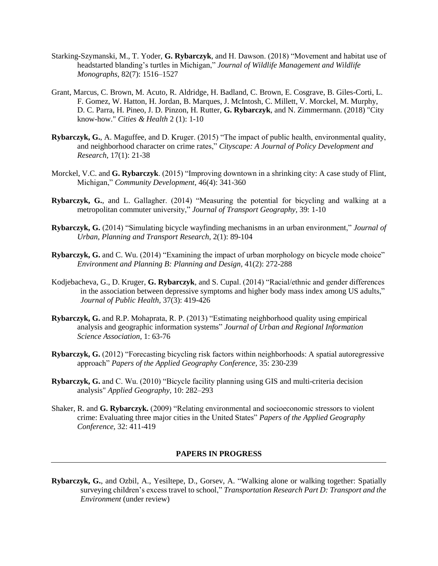- Starking**-**Szymanski, M., T. Yoder, **G. Rybarczyk**, and H. Dawson. (2018) "Movement and habitat use of headstarted blanding's turtles in Michigan," *Journal of Wildlife Management and Wildlife Monographs*, 82(7): 1516–1527
- Grant, Marcus, C. Brown, M. Acuto, R. Aldridge, H. Badland, C. Brown, E. Cosgrave, B. Giles-Corti, L. F. Gomez, W. Hatton, H. Jordan, B. Marques, J. McIntosh, C. Millett, V. Morckel, M. Murphy, D. C. Parra, H. Pineo, J. D. Pinzon, H. Rutter, **G. Rybarczyk**, and N. Zimmermann. (2018) "City know-how." *Cities & Health* 2 (1): 1-10
- **Rybarczyk, G.**, A. Maguffee, and D. Kruger. (2015) "The impact of public health, environmental quality, and neighborhood character on crime rates," *Cityscape: A Journal of Policy Development and Research*, 17(1): 21-38
- Morckel, V.C. and **G. Rybarczyk**. (2015) "Improving downtown in a shrinking city: A case study of Flint, Michigan," *Community Development,* 46(4): 341-360
- **Rybarczyk, G.**, and L. Gallagher. (2014) "Measuring the potential for bicycling and walking at a metropolitan commuter university," *Journal of Transport Geography*, 39: 1-10
- **Rybarczyk, G.** (2014) "Simulating bicycle wayfinding mechanisms in an urban environment," *Journal of Urban, Planning and Transport Research*, 2(1): 89-104
- **Rybarczyk, G.** and C. Wu. (2014) "Examining the impact of urban morphology on bicycle mode choice" *Environment and Planning B: Planning and Design,* 41(2): 272-288
- Kodjebacheva, G., D. Kruger, **G. Rybarczyk**, and S. Cupal. (2014) "Racial/ethnic and gender differences in the association between depressive symptoms and higher body mass index among US adults," *Journal of Public Health,* 37(3): 419-426
- **Rybarczyk, G.** and R.P. Mohaprata, R. P. (2013) "Estimating neighborhood quality using empirical analysis and geographic information systems" *Journal of Urban and Regional Information Science Association*, 1: 63-76
- **Rybarczyk, G.** (2012) "Forecasting bicycling risk factors within neighborhoods: A spatial autoregressive approach" *Papers of the Applied Geography Conference,* 35: 230-239
- **Rybarczyk, G.** and C. Wu. (2010) "Bicycle facility planning using GIS and multi-criteria decision analysis" *Applied Geography,* 10: 282–293
- Shaker, R. and **G. Rybarczyk.** (2009) "Relating environmental and socioeconomic stressors to violent crime: Evaluating three major cities in the United States" *Papers of the Applied Geography Conference,* 32: 411-419

# **PAPERS IN PROGRESS**

**Rybarczyk, G.**, and Ozbil, A., Yesiltepe, D., Gorsev, A. "Walking alone or walking together: Spatially surveying children's excess travel to school," *Transportation Research Part D: Transport and the Environment* (under review)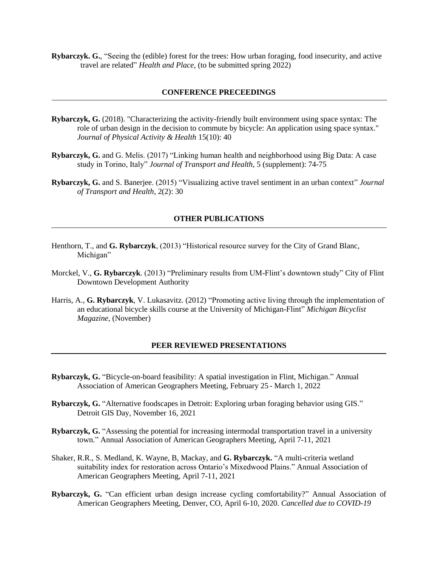**Rybarczyk. G.**, "Seeing the (edible) forest for the trees: How urban foraging, food insecurity, and active travel are related" *Health and Place,* (to be submitted spring 2022)

#### **CONFERENCE PRECEEDINGS**

- **Rybarczyk, G.** (2018). "Characterizing the activity-friendly built environment using space syntax: The role of urban design in the decision to commute by bicycle: An application using space syntax." *Journal of Physical Activity & Health* 15(10): 40
- **Rybarczyk, G.** and G. Melis. (2017) "Linking human health and neighborhood using Big Data: A case study in Torino, Italy" *Journal of Transport and Health*, 5 (supplement): 74-75
- **Rybarczyk, G.** and S. Banerjee. (2015) "Visualizing active travel sentiment in an urban context" *Journal of Transport and Health*, 2(2): 30

#### **OTHER PUBLICATIONS**

- Henthorn, T., and **G. Rybarczyk**, (2013) "Historical resource survey for the City of Grand Blanc, Michigan"
- Morckel, V., **G. Rybarczyk**. (2013) "Preliminary results from UM-Flint's downtown study" City of Flint Downtown Development Authority
- Harris, A., **G. Rybarczyk**, V. Lukasavitz. (2012) "Promoting active living through the implementation of an educational bicycle skills course at the University of Michigan-Flint" *Michigan Bicyclist Magazine*, (November)

#### **PEER REVIEWED PRESENTATIONS**

- **Rybarczyk, G.** "Bicycle-on-board feasibility: A spatial investigation in Flint, Michigan." Annual Association of American Geographers Meeting, February 25 - March 1, 2022
- **Rybarczyk, G.** "Alternative foodscapes in Detroit: Exploring urban foraging behavior using GIS." Detroit GIS Day, November 16, 2021
- **Rybarczyk, G.** "Assessing the potential for increasing intermodal transportation travel in a university town." Annual Association of American Geographers Meeting, April 7-11, 2021
- Shaker, R.R., S. Medland, K. Wayne, B, Mackay, and **G. Rybarczyk.** "A multi-criteria wetland suitability index for restoration across Ontario's Mixedwood Plains." Annual Association of American Geographers Meeting, April 7-11, 2021
- **Rybarczyk, G.** "Can efficient urban design increase cycling comfortability?" Annual Association of American Geographers Meeting, Denver, CO, April 6-10, 2020. *Cancelled due to COVID-19*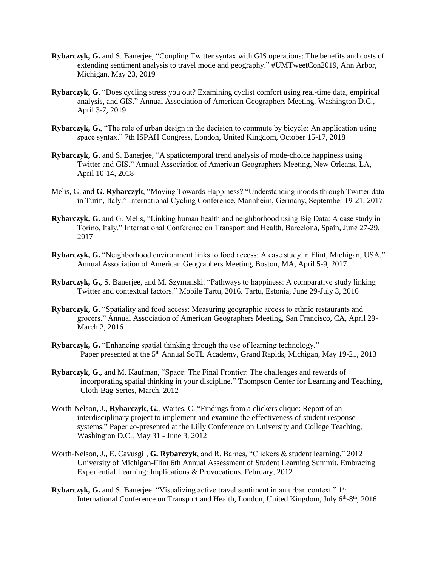- **Rybarczyk, G.** and S. Banerjee, "Coupling Twitter syntax with GIS operations: The benefits and costs of extending sentiment analysis to travel mode and geography." #UMTweetCon2019, Ann Arbor, Michigan, May 23, 2019
- **Rybarczyk, G.** "Does cycling stress you out? Examining cyclist comfort using real-time data, empirical analysis, and GIS." Annual Association of American Geographers Meeting, Washington D.C., April 3-7, 2019
- **Rybarczyk, G.**, "The role of urban design in the decision to commute by bicycle: An application using space syntax." 7th ISPAH Congress, London, United Kingdom, October 15-17, 2018
- **Rybarczyk, G.** and S. Banerjee, "A spatiotemporal trend analysis of mode-choice happiness using Twitter and GIS." Annual Association of American Geographers Meeting, New Orleans, LA, April 10-14, 2018
- Melis, G. and **G. Rybarczyk**, "Moving Towards Happiness? "Understanding moods through Twitter data in Turin, Italy." International Cycling Conference, Mannheim, Germany, September 19-21, 2017
- **Rybarczyk, G.** and G. Melis, "Linking human health and neighborhood using Big Data: A case study in Torino, Italy." International Conference on Transport and Health, Barcelona, Spain, June 27-29, 2017
- **Rybarczyk, G.** "Neighborhood environment links to food access: A case study in Flint, Michigan, USA." Annual Association of American Geographers Meeting, Boston, MA, April 5-9, 2017
- **Rybarczyk, G.**, S. Banerjee, and M. Szymanski. "Pathways to happiness: A comparative study linking Twitter and contextual factors." Mobile Tartu, 2016. Tartu, Estonia, June 29-July 3, 2016
- **Rybarczyk, G.** "Spatiality and food access: Measuring geographic access to ethnic restaurants and grocers." Annual Association of American Geographers Meeting, San Francisco, CA, April 29- March 2, 2016
- **Rybarczyk, G.** "Enhancing spatial thinking through the use of learning technology." Paper presented at the 5<sup>th</sup> Annual SoTL Academy, Grand Rapids, Michigan, May 19-21, 2013
- **Rybarczyk, G.**, and M. Kaufman, "Space: The Final Frontier: The challenges and rewards of incorporating spatial thinking in your discipline." Thompson Center for Learning and Teaching, Cloth-Bag Series, March, 2012
- Worth-Nelson, J., **Rybarczyk, G.**, Waites, C. "Findings from a clickers clique: Report of an interdisciplinary project to implement and examine the effectiveness of student response systems." Paper co-presented at the Lilly Conference on University and College Teaching, Washington D.C., May 31 - June 3, 2012
- Worth‐Nelson, J., E. Cavusgil, **G. Rybarczyk**, and R. Barnes, "Clickers & student learning." 2012 University of Michigan-Flint 6th Annual Assessment of Student Learning Summit, Embracing Experiential Learning: Implications & Provocations, February, 2012
- **Rybarczyk, G.** and S. Banerjee. "Visualizing active travel sentiment in an urban context." 1<sup>st</sup> International Conference on Transport and Health, London, United Kingdom, July 6<sup>th</sup>-8<sup>th</sup>, 2016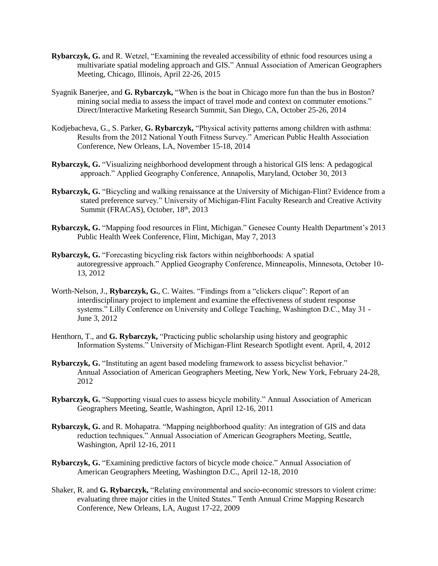- **Rybarczyk, G.** and R. Wetzel, "Examining the revealed accessibility of ethnic food resources using a multivariate spatial modeling approach and GIS." Annual Association of American Geographers Meeting, Chicago, Illinois, April 22-26, 2015
- Syagnik Banerjee, and **G. Rybarczyk,** "When is the boat in Chicago more fun than the bus in Boston? mining social media to assess the impact of travel mode and context on commuter emotions." Direct/Interactive Marketing Research Summit, San Diego, CA, October 25-26, 2014
- Kodjebacheva, G., S. Parker, **G. Rybarczyk,** "Physical activity patterns among children with asthma: Results from the 2012 National Youth Fitness Survey." American Public Health Association Conference, New Orleans, LA, November 15-18, 2014
- **Rybarczyk, G.** "Visualizing neighborhood development through a historical GIS lens: A pedagogical approach." Applied Geography Conference, Annapolis, Maryland, October 30, 2013
- **Rybarczyk, G.** "Bicycling and walking renaissance at the University of Michigan-Flint? Evidence from a stated preference survey." University of Michigan-Flint Faculty Research and Creative Activity Summit (FRACAS), October, 18<sup>th</sup>, 2013
- **Rybarczyk, G.** "Mapping food resources in Flint, Michigan." Genesee County Health Department's 2013 Public Health Week Conference, Flint, Michigan, May 7, 2013
- **Rybarczyk, G.** "Forecasting bicycling risk factors within neighborhoods: A spatial autoregressive approach." Applied Geography Conference, Minneapolis, Minnesota, October 10- 13, 2012
- Worth-Nelson, J., **Rybarczyk, G.**, C. Waites. "Findings from a "clickers clique": Report of an interdisciplinary project to implement and examine the effectiveness of student response systems." Lilly Conference on University and College Teaching, Washington D.C., May 31 - June 3, 2012
- Henthorn, T., and G. Rybarczyk, "Practicing public scholarship using history and geographic Information Systems." University of Michigan-Flint Research Spotlight event. April, 4, 2012
- **Rybarczyk, G.** "Instituting an agent based modeling framework to assess bicyclist behavior." Annual Association of American Geographers Meeting, New York, New York, February 24-28, 2012
- **Rybarczyk, G.** "Supporting visual cues to assess bicycle mobility." Annual Association of American Geographers Meeting, Seattle, Washington, April 12-16, 2011
- **Rybarczyk, G.** and R. Mohapatra. "Mapping neighborhood quality: An integration of GIS and data reduction techniques." Annual Association of American Geographers Meeting, Seattle, Washington, April 12-16, 2011
- **Rybarczyk, G.** "Examining predictive factors of bicycle mode choice." Annual Association of American Geographers Meeting, Washington D.C., April 12-18, 2010
- Shaker, R. and **G. Rybarczyk,** "Relating environmental and socio-economic stressors to violent crime: evaluating three major cities in the United States." Tenth Annual Crime Mapping Research Conference, New Orleans, LA, August 17-22, 2009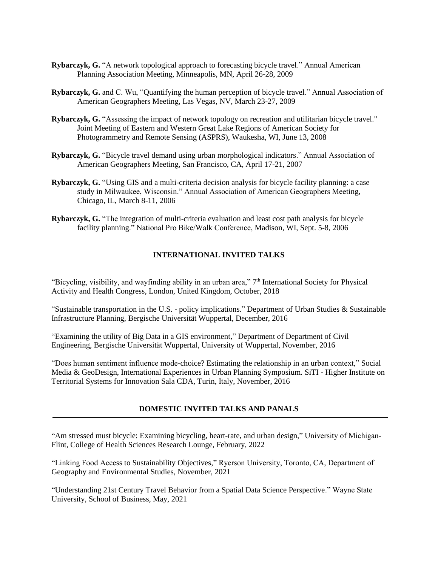- **Rybarczyk, G.** "A network topological approach to forecasting bicycle travel." Annual American Planning Association Meeting, Minneapolis, MN, April 26-28, 2009
- **Rybarczyk, G.** and C. Wu, "Quantifying the human perception of bicycle travel." Annual Association of American Geographers Meeting, Las Vegas, NV, March 23-27, 2009
- **Rybarczyk, G.** "Assessing the impact of network topology on recreation and utilitarian bicycle travel." Joint Meeting of Eastern and Western Great Lake Regions of American Society for Photogrammetry and Remote Sensing (ASPRS), Waukesha, WI, June 13, 2008
- **Rybarczyk, G.** "Bicycle travel demand using urban morphological indicators." Annual Association of American Geographers Meeting, San Francisco, CA, April 17-21, 2007
- **Rybarczyk, G.** "Using GIS and a multi-criteria decision analysis for bicycle facility planning: a case study in Milwaukee, Wisconsin." Annual Association of American Geographers Meeting, Chicago, IL, March 8-11, 2006
- **Rybarczyk, G.** "The integration of multi-criteria evaluation and least cost path analysis for bicycle facility planning." National Pro Bike/Walk Conference, Madison, WI, Sept. 5-8, 2006

# **INTERNATIONAL INVITED TALKS**

"Bicycling, visibility, and wayfinding ability in an urban area,"  $7<sup>th</sup>$  International Society for Physical Activity and Health Congress, London, United Kingdom, October, 2018

"Sustainable transportation in the U.S. - policy implications." Department of Urban Studies & Sustainable Infrastructure Planning, Bergische Universität Wuppertal, December, 2016

"Examining the utility of Big Data in a GIS environment," Department of Department of Civil Engineering, Bergische Universität Wuppertal, University of Wuppertal, November, 2016

"Does human sentiment influence mode-choice? Estimating the relationship in an urban context," Social Media & GeoDesign, International Experiences in Urban Planning Symposium. SiTI - Higher Institute on Territorial Systems for Innovation Sala CDA, Turin, Italy, November, 2016

# **DOMESTIC INVITED TALKS AND PANALS**

"Am stressed must bicycle: Examining bicycling, heart-rate, and urban design," University of Michigan-Flint, College of Health Sciences Research Lounge, February, 2022

"Linking Food Access to Sustainability Objectives," Ryerson University, Toronto, CA, Department of Geography and Environmental Studies, November, 2021

"Understanding 21st Century Travel Behavior from a Spatial Data Science Perspective." Wayne State University, School of Business, May, 2021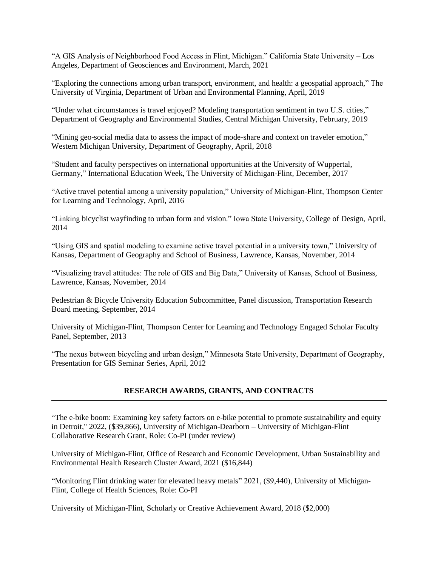"A GIS Analysis of Neighborhood Food Access in Flint, Michigan." California State University – Los Angeles, Department of Geosciences and Environment, March, 2021

"Exploring the connections among urban transport, environment, and health: a geospatial approach," The University of Virginia, Department of Urban and Environmental Planning, April, 2019

"Under what circumstances is travel enjoyed? Modeling transportation sentiment in two U.S. cities," Department of Geography and Environmental Studies, Central Michigan University, February, 2019

"Mining geo-social media data to assess the impact of mode-share and context on traveler emotion," Western Michigan University, Department of Geography, April, 2018

"Student and faculty perspectives on international opportunities at the University of Wuppertal, Germany," International Education Week, The University of Michigan-Flint, December, 2017

"Active travel potential among a university population," University of Michigan-Flint, Thompson Center for Learning and Technology, April, 2016

"Linking bicyclist wayfinding to urban form and vision." Iowa State University, College of Design, April, 2014

"Using GIS and spatial modeling to examine active travel potential in a university town," University of Kansas, Department of Geography and School of Business, Lawrence, Kansas, November, 2014

"Visualizing travel attitudes: The role of GIS and Big Data," University of Kansas, School of Business, Lawrence, Kansas, November, 2014

Pedestrian & Bicycle University Education Subcommittee, Panel discussion, Transportation Research Board meeting, September, 2014

University of Michigan-Flint, Thompson Center for Learning and Technology Engaged Scholar Faculty Panel, September, 2013

"The nexus between bicycling and urban design," Minnesota State University, Department of Geography, Presentation for GIS Seminar Series, April, 2012

# **RESEARCH AWARDS, GRANTS, AND CONTRACTS**

"The e-bike boom: Examining key safety factors on e-bike potential to promote sustainability and equity in Detroit," 2022, (\$39,866), University of Michigan-Dearborn – University of Michigan-Flint Collaborative Research Grant, Role: Co-PI (under review)

University of Michigan-Flint, Office of Research and Economic Development, Urban Sustainability and Environmental Health Research Cluster Award, 2021 (\$16,844)

"Monitoring Flint drinking water for elevated heavy metals" 2021, (\$9,440), University of Michigan-Flint, College of Health Sciences, Role: Co-PI

University of Michigan-Flint, Scholarly or Creative Achievement Award, 2018 (\$2,000)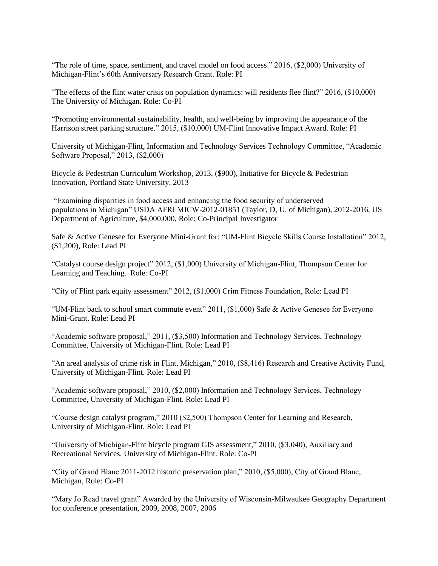"The role of time, space, sentiment, and travel model on food access." 2016, (\$2,000) University of Michigan-Flint's 60th Anniversary Research Grant. Role: PI

"The effects of the flint water crisis on population dynamics: will residents flee flint?" 2016, (\$10,000) The University of Michigan. Role: Co-PI

"Promoting environmental sustainability, health, and well-being by improving the appearance of the Harrison street parking structure." 2015, (\$10,000) UM-Flint Innovative Impact Award. Role: PI

University of Michigan-Flint, Information and Technology Services Technology Committee, "Academic Software Proposal," 2013, (\$2,000)

Bicycle & Pedestrian Curriculum Workshop, 2013, (\$900), Initiative for Bicycle & Pedestrian Innovation, Portland State University, 2013

"Examining disparities in food access and enhancing the food security of underserved populations in Michigan" USDA AFRI MICW-2012-01851 (Taylor, D, U. of Michigan), 2012-2016, US Department of Agriculture, \$4,000,000, Role: Co-Principal Investigator

Safe & Active Genesee for Everyone Mini-Grant for: "UM-Flint Bicycle Skills Course Installation" 2012, (\$1,200), Role: Lead PI

"Catalyst course design project" 2012, (\$1,000) University of Michigan-Flint, Thompson Center for Learning and Teaching. Role: Co-PI

"City of Flint park equity assessment" 2012, (\$1,000) Crim Fitness Foundation, Role: Lead PI

"UM-Flint back to school smart commute event" 2011, (\$1,000) Safe & Active Genesee for Everyone Mini-Grant. Role: Lead PI

"Academic software proposal," 2011, (\$3,500) Information and Technology Services, Technology Committee, University of Michigan-Flint. Role: Lead PI

"An areal analysis of crime risk in Flint, Michigan," 2010, (\$8,416) Research and Creative Activity Fund, University of Michigan-Flint. Role: Lead PI

"Academic software proposal," 2010, (\$2,000) Information and Technology Services, Technology Committee, University of Michigan-Flint. Role: Lead PI

"Course design catalyst program," 2010 (\$2,500) Thompson Center for Learning and Research, University of Michigan-Flint. Role: Lead PI

"University of Michigan-Flint bicycle program GIS assessment," 2010, (\$3,040), Auxiliary and Recreational Services, University of Michigan-Flint. Role: Co-PI

"City of Grand Blanc 2011-2012 historic preservation plan," 2010, (\$5,000), City of Grand Blanc, Michigan, Role: Co-PI

"Mary Jo Read travel grant" Awarded by the University of Wisconsin-Milwaukee Geography Department for conference presentation, 2009, 2008, 2007, 2006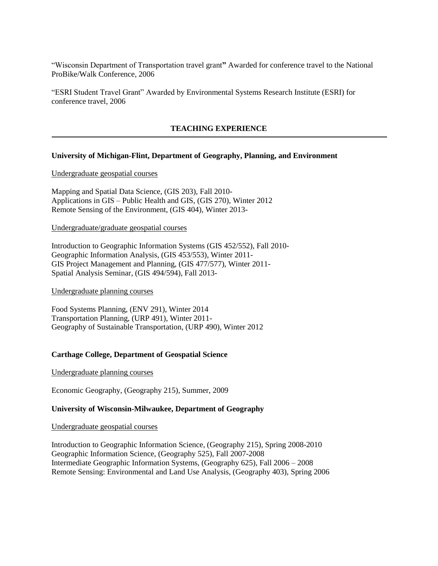"Wisconsin Department of Transportation travel grant**"** Awarded for conference travel to the National ProBike/Walk Conference, 2006

"ESRI Student Travel Grant" Awarded by Environmental Systems Research Institute (ESRI) for conference travel, 2006

#### **TEACHING EXPERIENCE**

# **University of Michigan-Flint, Department of Geography, Planning, and Environment**

#### Undergraduate geospatial courses

Mapping and Spatial Data Science, (GIS 203), Fall 2010- Applications in GIS – Public Health and GIS, (GIS 270), Winter 2012 Remote Sensing of the Environment, (GIS 404), Winter 2013-

### Undergraduate/graduate geospatial courses

Introduction to Geographic Information Systems (GIS 452/552), Fall 2010- Geographic Information Analysis, (GIS 453/553), Winter 2011- GIS Project Management and Planning, (GIS 477/577), Winter 2011- Spatial Analysis Seminar, (GIS 494/594), Fall 2013-

#### Undergraduate planning courses

Food Systems Planning, (ENV 291), Winter 2014 Transportation Planning, (URP 491), Winter 2011- Geography of Sustainable Transportation, (URP 490), Winter 2012

#### **Carthage College, Department of Geospatial Science**

#### Undergraduate planning courses

Economic Geography, (Geography 215), Summer, 2009

# **University of Wisconsin-Milwaukee, Department of Geography**

#### Undergraduate geospatial courses

Introduction to Geographic Information Science, (Geography 215), Spring 2008-2010 Geographic Information Science, (Geography 525), Fall 2007-2008 Intermediate Geographic Information Systems, (Geography 625), Fall 2006 – 2008 Remote Sensing: Environmental and Land Use Analysis, (Geography 403), Spring 2006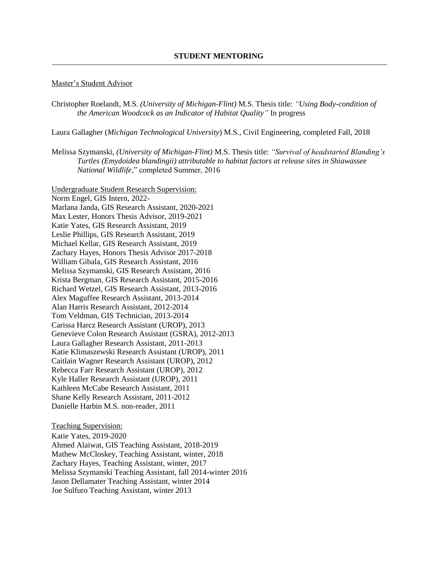#### Master's Student Advisor

Christopher Roelandt, M.S. *(University of Michigan-Flint)* M.S. Thesis title: *"Using Body-condition of the American Woodcock as an Indicator of Habitat Quality"* In progress

Laura Gallagher (*Michigan Technological University*) M.S., Civil Engineering, completed Fall, 2018

Melissa Szymanski, *(University of Michigan-Flint)* M.S. Thesis title: *"Survival of headstarted Blanding's Turtles (Emydoidea blandingii) attributable to habitat factors at release sites in Shiawassee National Wildlife*," completed Summer, 2016

Undergraduate Student Research Supervision: Norm Engel, GIS Intern, 2022- Marlana Janda, GIS Research Assistant, 2020-2021 Max Lester, Honors Thesis Advisor, 2019-2021 Katie Yates, GIS Research Assistant, 2019 Leslie Phillips, GIS Research Assistant, 2019 Michael Kellar, GIS Research Assistant, 2019 Zachary Hayes, Honors Thesis Advisor 2017-2018 William Gibala, GIS Research Assistant, 2016 Melissa Szymanski, GIS Research Assistant, 2016 Krista Bergman, GIS Research Assistant, 2015-2016 Richard Wetzel, GIS Research Assistant, 2013-2016 Alex Maguffee Research Assistant, 2013-2014 Alan Harris Research Assistant, 2012-2014 Tom Veldman, GIS Technician, 2013-2014 Carissa Harcz Research Assistant (UROP), 2013 Genevieve Colon Research Assistant (GSRA), 2012-2013 Laura Gallagher Research Assistant, 2011-2013 Katie Klimaszewski Research Assistant (UROP), 2011 Caitlain Wagner Research Assistant (UROP), 2012 Rebecca Farr Research Assistant (UROP), 2012 Kyle Haller Research Assistant (UROP), 2011 Kathleen McCabe Research Assistant, 2011 Shane Kelly Research Assistant, 2011-2012 Danielle Harbin M.S. non-reader, 2011

Teaching Supervision:

Katie Yates, 2019-2020 Ahmed Alaiwat, GIS Teaching Assistant, 2018-2019 Mathew McCloskey, Teaching Assistant, winter, 2018 Zachary Hayes, Teaching Assistant, winter, 2017 Melissa Szymanski Teaching Assistant, fall 2014-winter 2016 Jason Dellamater Teaching Assistant, winter 2014 Joe Sulfuro Teaching Assistant, winter 2013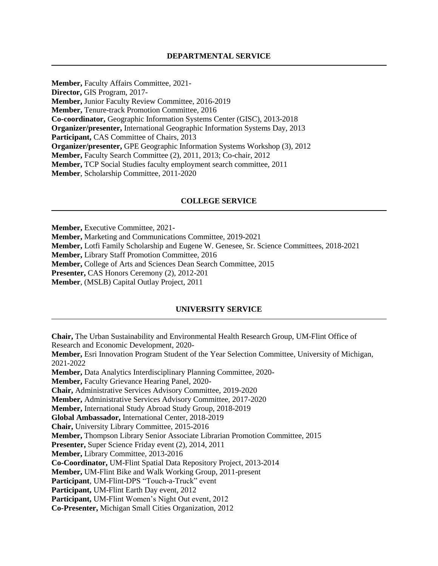**Member,** Faculty Affairs Committee, 2021- **Director,** GIS Program, 2017- **Member,** Junior Faculty Review Committee, 2016-2019 **Member,** Tenure-track Promotion Committee, 2016 **Co-coordinator,** Geographic Information Systems Center (GISC), 2013-2018 **Organizer/presenter,** International Geographic Information Systems Day, 2013 **Participant,** CAS Committee of Chairs, 2013 **Organizer/presenter,** GPE Geographic Information Systems Workshop (3), 2012 **Member,** Faculty Search Committee (2), 2011, 2013; Co-chair, 2012 **Member,** TCP Social Studies faculty employment search committee, 2011 **Member**, Scholarship Committee, 2011-2020

### **COLLEGE SERVICE**

**Member,** Executive Committee, 2021-

**Member,** Marketing and Communications Committee, 2019-2021

**Member,** Lotfi Family Scholarship and Eugene W. Genesee, Sr. Science Committees, 2018-2021

**Member,** Library Staff Promotion Committee, 2016

**Member,** College of Arts and Sciences Dean Search Committee, 2015

**Presenter,** CAS Honors Ceremony (2), 2012-201

**Member**, (MSLB) Capital Outlay Project, 2011

### **UNIVERSITY SERVICE**

**Chair,** The Urban Sustainability and Environmental Health Research Group, UM-Flint Office of Research and Economic Development, 2020- **Member,** Esri Innovation Program Student of the Year Selection Committee, University of Michigan, 2021-2022 **Member,** Data Analytics Interdisciplinary Planning Committee, 2020- **Member,** Faculty Grievance Hearing Panel, 2020- **Chair,** Administrative Services Advisory Committee, 2019-2020 **Member,** Administrative Services Advisory Committee, 2017-2020 **Member,** International Study Abroad Study Group, 2018-2019 **Global Ambassador,** International Center, 2018-2019 **Chair,** University Library Committee, 2015-2016 **Member,** Thompson Library Senior Associate Librarian Promotion Committee, 2015 **Presenter,** Super Science Friday event (2), 2014, 2011 **Member,** Library Committee, 2013-2016 **Co-Coordinator,** UM-Flint Spatial Data Repository Project, 2013-2014 **Member,** UM-Flint Bike and Walk Working Group, 2011-present **Participant**, UM-Flint-DPS "Touch-a-Truck" event **Participant,** UM-Flint Earth Day event, 2012 **Participant,** UM-Flint Women's Night Out event, 2012 **Co-Presenter,** Michigan Small Cities Organization, 2012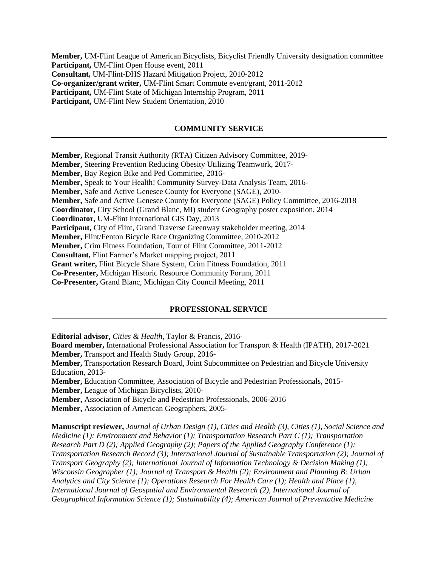**Member,** UM-Flint League of American Bicyclists, Bicyclist Friendly University designation committee **Participant,** UM-Flint Open House event, 2011 **Consultant,** UM-Flint-DHS Hazard Mitigation Project, 2010-2012 **Co-organizer/grant writer,** UM-Flint Smart Commute event/grant, 2011-2012 **Participant,** UM-Flint State of Michigan Internship Program, 2011 **Participant,** UM-Flint New Student Orientation, 2010

# **COMMUNITY SERVICE**

**Member,** Regional Transit Authority (RTA) Citizen Advisory Committee, 2019- **Member,** Steering Prevention Reducing Obesity Utilizing Teamwork, 2017- **Member,** Bay Region Bike and Ped Committee, 2016- **Member,** Speak to Your Health! Community Survey-Data Analysis Team, 2016- **Member,** Safe and Active Genesee County for Everyone (SAGE), 2010- **Member,** Safe and Active Genesee County for Everyone (SAGE) Policy Committee, 2016-2018 **Coordinator,** City School (Grand Blanc, MI) student Geography poster exposition, 2014 **Coordinator,** UM-Flint International GIS Day, 2013 Participant, City of Flint, Grand Traverse Greenway stakeholder meeting, 2014 **Member,** Flint/Fenton Bicycle Race Organizing Committee, 2010-2012 **Member,** Crim Fitness Foundation, Tour of Flint Committee, 2011-2012 **Consultant,** Flint Farmer's Market mapping project, 2011 **Grant writer,** Flint Bicycle Share System, Crim Fitness Foundation, 2011 **Co-Presenter,** Michigan Historic Resource Community Forum, 2011 **Co-Presenter,** Grand Blanc, Michigan City Council Meeting, 2011

### **PROFESSIONAL SERVICE**

**Editorial advisor,** *Cities & Health*, Taylor & Francis, 2016-

**Board member,** International Professional Association for Transport & Health (IPATH), 2017-2021 **Member,** Transport and Health Study Group, 2016-

**Member,** Transportation Research Board, Joint Subcommittee on Pedestrian and Bicycle University Education, 2013-

**Member,** Education Committee, Association of Bicycle and Pedestrian Professionals, 2015-

**Member,** League of Michigan Bicyclists, 2010-

**Member,** Association of Bicycle and Pedestrian Professionals, 2006-2016

**Member,** Association of American Geographers, 2005-

**Manuscript reviewer,** *Journal of Urban Design (1), Cities and Health (3), Cities (1), Social Science and Medicine (1); Environment and Behavior (1); Transportation Research Part C (1); Transportation Research Part D (2); Applied Geography (2); Papers of the Applied Geography Conference (1); Transportation Research Record (3); International Journal of Sustainable Transportation (2); Journal of Transport Geography (2); International Journal of Information Technology & Decision Making (1); Wisconsin Geographer (1); Journal of Transport & Health (2); Environment and Planning B: Urban Analytics and City Science (1); Operations Research For Health Care (1); Health and Place (1), International Journal of Geospatial and Environmental Research (2), International Journal of Geographical Information Science (1); Sustainability (4); American Journal of Preventative Medicine*